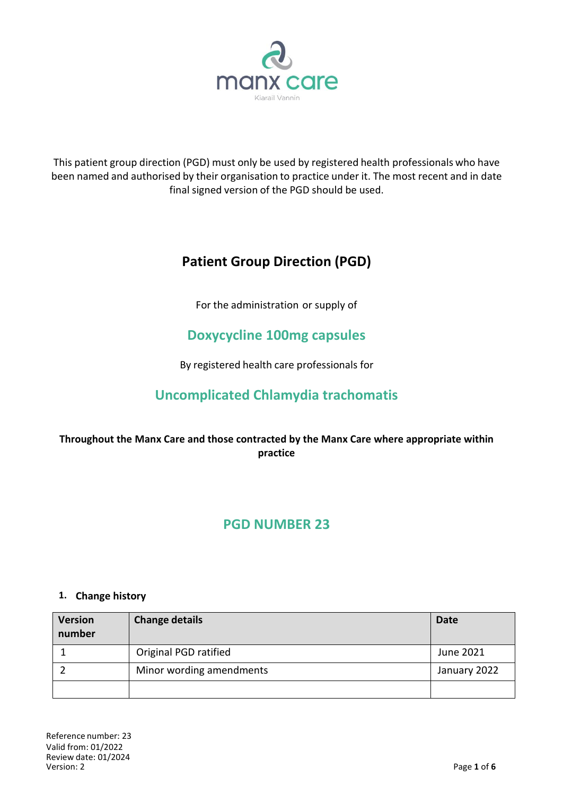

This patient group direction (PGD) must only be used by registered health professionals who have been named and authorised by their organisation to practice under it. The most recent and in date final signed version of the PGD should be used.

# **Patient Group Direction (PGD)**

For the administration or supply of

# **Doxycycline 100mg capsules**

By registered health care professionals for

# **Uncomplicated Chlamydia trachomatis**

# **Throughout the Manx Care and those contracted by the Manx Care where appropriate within practice**

# **PGD NUMBER 23**

### **1. Change history**

| <b>Version</b><br>number | <b>Change details</b>    | <b>Date</b>  |
|--------------------------|--------------------------|--------------|
|                          | Original PGD ratified    | June 2021    |
|                          | Minor wording amendments | January 2022 |
|                          |                          |              |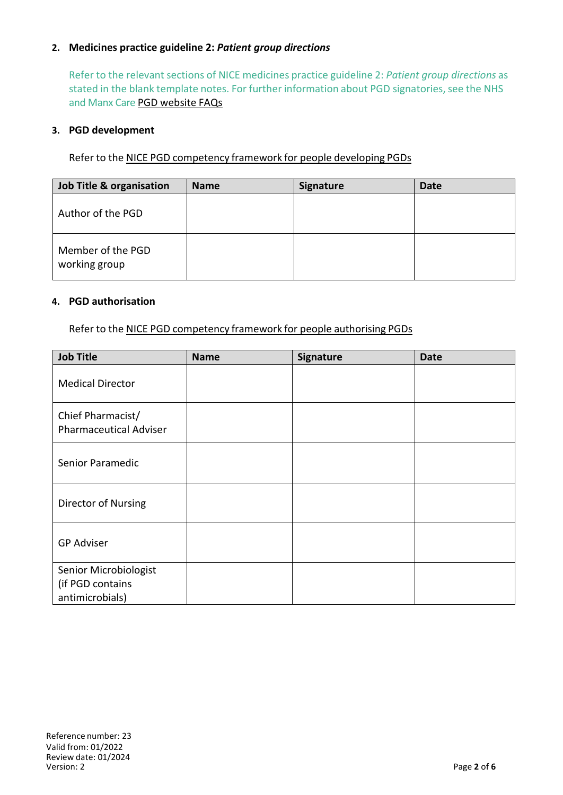## **2. Medicines practice guideline 2:** *Patient group directions*

Refer to the relevant sections of NICE medicines practice guideline 2: *Patient group directions* as stated in the blank template notes. For further information about PGD signatories, see the NHS and Manx Care PGD website FAQs

### **3. PGD development**

Refer to the NICE PGD competency framework for people developing PGDs

| Job Title & organisation           | <b>Name</b> | Signature | Date |
|------------------------------------|-------------|-----------|------|
| Author of the PGD                  |             |           |      |
| Member of the PGD<br>working group |             |           |      |

### **4. PGD authorisation**

Refer to the NICE PGD competency framework for people authorising PGDs

| <b>Job Title</b>                                             | <b>Name</b> | Signature | <b>Date</b> |
|--------------------------------------------------------------|-------------|-----------|-------------|
| <b>Medical Director</b>                                      |             |           |             |
| Chief Pharmacist/<br><b>Pharmaceutical Adviser</b>           |             |           |             |
| Senior Paramedic                                             |             |           |             |
| Director of Nursing                                          |             |           |             |
| <b>GP Adviser</b>                                            |             |           |             |
| Senior Microbiologist<br>(if PGD contains<br>antimicrobials) |             |           |             |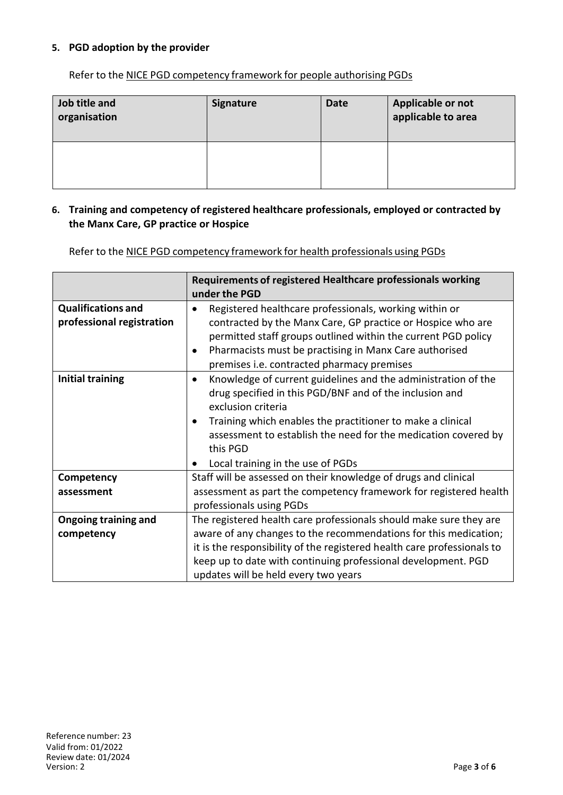## **5. PGD adoption by the provider**

Refer to the NICE PGD competency framework for people authorising PGDs

| Job title and<br>organisation | <b>Signature</b> | <b>Date</b> | Applicable or not<br>applicable to area |
|-------------------------------|------------------|-------------|-----------------------------------------|
|                               |                  |             |                                         |

### **6. Training and competency of registered healthcare professionals, employed or contracted by the Manx Care, GP practice or Hospice**

Refer to the NICE PGD competency framework for health professionals using PGDs

|                                                        | Requirements of registered Healthcare professionals working<br>under the PGD                                                                                                                                                                                                                                                                 |
|--------------------------------------------------------|----------------------------------------------------------------------------------------------------------------------------------------------------------------------------------------------------------------------------------------------------------------------------------------------------------------------------------------------|
| <b>Qualifications and</b><br>professional registration | Registered healthcare professionals, working within or<br>contracted by the Manx Care, GP practice or Hospice who are<br>permitted staff groups outlined within the current PGD policy<br>Pharmacists must be practising in Manx Care authorised<br>premises i.e. contracted pharmacy premises                                               |
| <b>Initial training</b>                                | Knowledge of current guidelines and the administration of the<br>$\bullet$<br>drug specified in this PGD/BNF and of the inclusion and<br>exclusion criteria<br>Training which enables the practitioner to make a clinical<br>assessment to establish the need for the medication covered by<br>this PGD<br>Local training in the use of PGDs |
| Competency                                             | Staff will be assessed on their knowledge of drugs and clinical                                                                                                                                                                                                                                                                              |
| assessment                                             | assessment as part the competency framework for registered health<br>professionals using PGDs                                                                                                                                                                                                                                                |
| <b>Ongoing training and</b>                            | The registered health care professionals should make sure they are                                                                                                                                                                                                                                                                           |
| competency                                             | aware of any changes to the recommendations for this medication;                                                                                                                                                                                                                                                                             |
|                                                        | it is the responsibility of the registered health care professionals to                                                                                                                                                                                                                                                                      |
|                                                        | keep up to date with continuing professional development. PGD                                                                                                                                                                                                                                                                                |
|                                                        | updates will be held every two years                                                                                                                                                                                                                                                                                                         |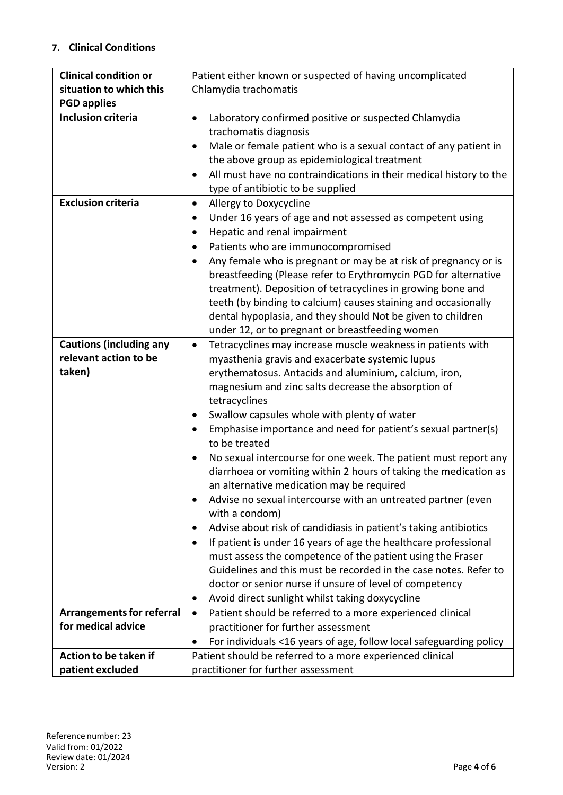# **7. Clinical Conditions**

| <b>Clinical condition or</b>     | Patient either known or suspected of having uncomplicated                       |  |  |
|----------------------------------|---------------------------------------------------------------------------------|--|--|
| situation to which this          | Chlamydia trachomatis                                                           |  |  |
| <b>PGD applies</b>               |                                                                                 |  |  |
| <b>Inclusion criteria</b>        | Laboratory confirmed positive or suspected Chlamydia<br>$\bullet$               |  |  |
|                                  | trachomatis diagnosis                                                           |  |  |
|                                  | Male or female patient who is a sexual contact of any patient in<br>$\bullet$   |  |  |
|                                  | the above group as epidemiological treatment                                    |  |  |
|                                  | All must have no contraindications in their medical history to the<br>٠         |  |  |
|                                  | type of antibiotic to be supplied                                               |  |  |
| <b>Exclusion criteria</b>        | Allergy to Doxycycline<br>$\bullet$                                             |  |  |
|                                  | Under 16 years of age and not assessed as competent using<br>٠                  |  |  |
|                                  | Hepatic and renal impairment<br>$\bullet$                                       |  |  |
|                                  | Patients who are immunocompromised<br>$\bullet$                                 |  |  |
|                                  | Any female who is pregnant or may be at risk of pregnancy or is<br>$\bullet$    |  |  |
|                                  | breastfeeding (Please refer to Erythromycin PGD for alternative                 |  |  |
|                                  | treatment). Deposition of tetracyclines in growing bone and                     |  |  |
|                                  | teeth (by binding to calcium) causes staining and occasionally                  |  |  |
|                                  | dental hypoplasia, and they should Not be given to children                     |  |  |
|                                  | under 12, or to pregnant or breastfeeding women                                 |  |  |
| <b>Cautions (including any</b>   | Tetracyclines may increase muscle weakness in patients with<br>$\bullet$        |  |  |
| relevant action to be            | myasthenia gravis and exacerbate systemic lupus                                 |  |  |
| taken)                           | erythematosus. Antacids and aluminium, calcium, iron,                           |  |  |
|                                  | magnesium and zinc salts decrease the absorption of                             |  |  |
|                                  | tetracyclines                                                                   |  |  |
|                                  | Swallow capsules whole with plenty of water<br>$\bullet$                        |  |  |
|                                  | Emphasise importance and need for patient's sexual partner(s)                   |  |  |
|                                  | to be treated                                                                   |  |  |
|                                  | No sexual intercourse for one week. The patient must report any<br>٠            |  |  |
|                                  | diarrhoea or vomiting within 2 hours of taking the medication as                |  |  |
|                                  | an alternative medication may be required                                       |  |  |
|                                  | Advise no sexual intercourse with an untreated partner (even<br>$\bullet$       |  |  |
|                                  | with a condom)                                                                  |  |  |
|                                  | Advise about risk of candidiasis in patient's taking antibiotics<br>٠           |  |  |
|                                  | If patient is under 16 years of age the healthcare professional                 |  |  |
|                                  | must assess the competence of the patient using the Fraser                      |  |  |
|                                  | Guidelines and this must be recorded in the case notes. Refer to                |  |  |
|                                  | doctor or senior nurse if unsure of level of competency                         |  |  |
|                                  | Avoid direct sunlight whilst taking doxycycline<br>$\bullet$                    |  |  |
| <b>Arrangements for referral</b> | Patient should be referred to a more experienced clinical<br>$\bullet$          |  |  |
| for medical advice               | practitioner for further assessment                                             |  |  |
|                                  | For individuals <16 years of age, follow local safeguarding policy<br>$\bullet$ |  |  |
| Action to be taken if            | Patient should be referred to a more experienced clinical                       |  |  |
| patient excluded                 | practitioner for further assessment                                             |  |  |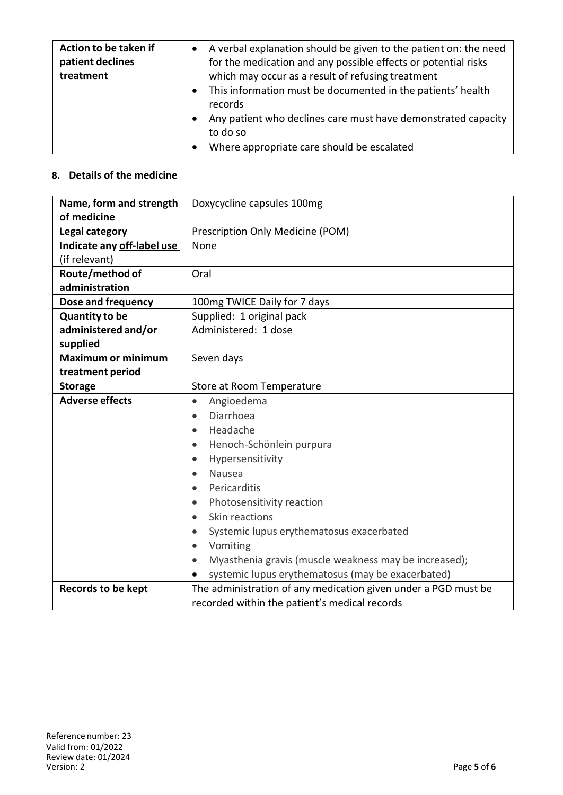| Action to be taken if<br>patient declines<br>treatment | A verbal explanation should be given to the patient on: the need<br>for the medication and any possible effects or potential risks<br>which may occur as a result of refusing treatment |
|--------------------------------------------------------|-----------------------------------------------------------------------------------------------------------------------------------------------------------------------------------------|
|                                                        | This information must be documented in the patients' health<br>records                                                                                                                  |
|                                                        | Any patient who declines care must have demonstrated capacity<br>to do so                                                                                                               |
|                                                        | Where appropriate care should be escalated                                                                                                                                              |

# **8. Details of the medicine**

| Name, form and strength    | Doxycycline capsules 100mg                                     |  |  |
|----------------------------|----------------------------------------------------------------|--|--|
| of medicine                |                                                                |  |  |
| Legal category             | Prescription Only Medicine (POM)                               |  |  |
| Indicate any off-label use | None                                                           |  |  |
| (if relevant)              |                                                                |  |  |
| Route/method of            | Oral                                                           |  |  |
| administration             |                                                                |  |  |
| Dose and frequency         | 100mg TWICE Daily for 7 days                                   |  |  |
| <b>Quantity to be</b>      | Supplied: 1 original pack                                      |  |  |
| administered and/or        | Administered: 1 dose                                           |  |  |
| supplied                   |                                                                |  |  |
| <b>Maximum or minimum</b>  | Seven days                                                     |  |  |
| treatment period           |                                                                |  |  |
| <b>Storage</b>             | Store at Room Temperature                                      |  |  |
| <b>Adverse effects</b>     | Angioedema<br>$\bullet$                                        |  |  |
|                            | Diarrhoea<br>$\bullet$                                         |  |  |
|                            | Headache<br>$\bullet$                                          |  |  |
|                            | Henoch-Schönlein purpura<br>$\bullet$                          |  |  |
|                            | Hypersensitivity<br>$\bullet$                                  |  |  |
|                            | Nausea<br>$\bullet$                                            |  |  |
|                            | Pericarditis                                                   |  |  |
|                            | Photosensitivity reaction<br>$\bullet$                         |  |  |
|                            | Skin reactions<br>$\bullet$                                    |  |  |
|                            | Systemic lupus erythematosus exacerbated<br>$\bullet$          |  |  |
|                            | Vomiting<br>$\bullet$                                          |  |  |
|                            | Myasthenia gravis (muscle weakness may be increased);          |  |  |
|                            | systemic lupus erythematosus (may be exacerbated)              |  |  |
| <b>Records to be kept</b>  | The administration of any medication given under a PGD must be |  |  |
|                            | recorded within the patient's medical records                  |  |  |